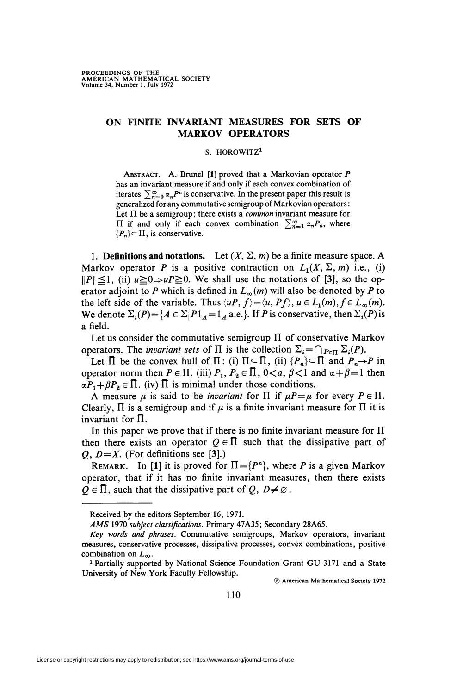## ON FINITE INVARIANT MEASURES FOR SETS OF MARKOV OPERATORS

## S. HOROWITZ<sup>1</sup>

ABSTRACT. A. Brunel [1] proved that a Markovian operator  $P$ has an invariant measure if and only if each convex combination of iterates  $\sum_{n=0}^{\infty} \alpha_n P^n$  is conservative. In the present paper this result is generalized for any commutative semigroup of Markovian operators : Let  $\Pi$  be a semigroup; there exists a *common* invariant measure for II if and only if each convex combination  $\sum_{n=1}^{\infty} \alpha_n P_n$ , where  $\{P_n\} \subset \Pi$ , is conservative.

1. Definitions and notations. Let  $(X, \Sigma, m)$  be a finite measure space. A Markov operator P is a positive contraction on  $L_1(X, \Sigma, m)$  i.e., (i)  $||P|| \le 1$ , (ii)  $u \ge 0 \Rightarrow uP \ge 0$ . We shall use the notations of [3], so the operator adjoint to P which is defined in  $L_{\infty}(m)$  will also be denoted by P to the left side of the variable. Thus  $\langle uP, f \rangle = \langle u, Pf \rangle$ ,  $u \in L_1(m), f \in L_\infty(m)$ . We denote  $\Sigma_i(P) = \{A \in \Sigma | P1_A=1_A \text{ a.e.}\}.$  If P is conservative, then  $\Sigma_i(P)$  is a field.

Let us consider the commutative semigroup  $\Pi$  of conservative Markov operators. The *invariant sets* of  $\Pi$  is the collection  $\Sigma_i = \bigcap_{P \in \Pi} \Sigma_i(P)$ .

Let  $\Pi$  be the convex hull of  $\Pi$ : (i)  $\Pi \subset \Pi$ , (ii)  $\{P_n\} \subset \Pi$  and  $P_n \to P$  in operator norm then  $P \in \Pi$ . (iii)  $P_1, P_2 \in \Pi$ ,  $0 < a$ ,  $\beta < 1$  and  $\alpha + \beta = 1$  then  $\alpha P_1 + \beta P_2 \in \Pi$ . (iv)  $\Pi$  is minimal under those conditions.

A measure  $\mu$  is said to be *invariant* for  $\Pi$  if  $\mu P = \mu$  for every  $P \in \Pi$ . Clearly,  $\Pi$  is a semigroup and if  $\mu$  is a finite invariant measure for  $\Pi$  it is invariant for  $\Pi$ .

In this paper we prove that if there is no finite invariant measure for  $\Pi$ then there exists an operator  $Q \in \Pi$  such that the dissipative part of O,  $D=X$ . (For definitions see [3].)

REMARK. In [1] it is proved for  $\Pi = \{P^n\}$ , where P is a given Markov operator, that if it has no finite invariant measures, then there exists  $Q \in \Pi$ , such that the dissipative part of  $Q, D \neq \emptyset$ .

© American Mathematical Society 1972

Received by the editors September 16, 1971.

AMS 1970 subject classifications. Primary 47A35; Secondary 28A65.

Key words and phrases. Commutative semigroups, Markov operators, invariant measures, conservative processes, dissipative processes, convex combinations, positive combination on  $L_{\infty}$ .

<sup>&</sup>lt;sup>1</sup> Partially supported by National Science Foundation Grant GU 3171 and a State University of New York Faculty Fellowship.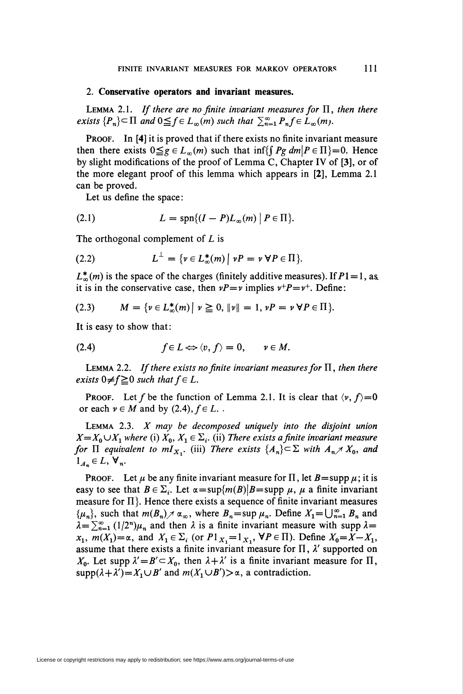## 2. Conservative operators and invariant measures.

LEMMA 2.1. If there are no finite invariant measures for  $\Pi$ , then there exists  $\{P_n\} \subset \Pi$  and  $0 \leq f \in L_\infty(m)$  such that  $\sum_{n=1}^\infty P_n f \in L_\infty(m)$ .

PROOF. In [4] it is proved that if there exists no finite invariant measure then there exists  $0 \leq g \in L_{\infty}(m)$  such that inf{ $\{Pg \, dm \mid P \in \Pi\}=0$ . Hence by slight modifications of the proof of Lemma C, Chapter IV of [3], or of the more elegant proof of this lemma which appears in [2], Lemma 2.1 can be proved.

Let us define the space:

$$
(2.1) \tL = \mathrm{spn}\{(I - P)L_{\infty}(m) \mid P \in \Pi\}.
$$

The orthogonal complement of L is

$$
(2.2) \tL^{\perp} = \{ \nu \in L^*_{\infty}(m) \mid \nu P = \nu \ \forall P \in \Pi \}
$$

 $L_{\infty}^{*}(m)$  is the space of the charges (finitely additive measures). If  $P1 = 1$ , as. it is in the conservative case, then  $vP = v$  implies  $v^+P = v^+$ . Define:

$$
(2.3) \tM = \{ v \in L^*_{\infty}(m) \mid v \ge 0, \|v\| = 1, vP = v \ \forall P \in \Pi \}.
$$

It is easy to show that:

$$
(2.4) \t f \in L \Leftrightarrow \langle v, f \rangle = 0, \t v \in M.
$$

LEMMA 2.2. If there exists no finite invariant measures for  $\Pi$ , then there exists  $0 \neq f \geq 0$  such that  $f \in L$ .

**PROOF.** Let f be the function of Lemma 2.1. It is clear that  $\langle v, f \rangle = 0$ or each  $\nu \in M$  and by (2.4),  $f \in L$ .

LEMMA 2.3.  $X$  may be decomposed uniquely into the disjoint union  $X=X_0\cup X_1$  where (i)  $X_0, X_1\in \Sigma_i$ . (ii) There exists a finite invariant measure for  $\Pi$  equivalent to m $I_{X_1}$ . (iii) There exists  $\{A_n\} \subset \Sigma$  with  $A_n \nearrow X_0$ , and  $1_{A_n} \in L$ ,  $\forall_n$ .

**PROOF.** Let  $\mu$  be any finite invariant measure for  $\Pi$ , let  $B = \text{supp }\mu$ ; it is easy to see that  $B \in \Sigma_i$ . Let  $\alpha = \sup\{m(B)|B=\sup p \mu, \mu \text{ a finite invariant }\}$ measure for  $\Pi$ . Hence there exists a sequence of finite invariant measures  $\{\mu_n\}$ , such that  $m(B_n)\nearrow \alpha_\infty$ , where  $B_n = \sup \mu_n$ . Define  $X_1 = \bigcup_{n=1}^\infty B_n$  and  $\lambda = \sum_{n=1}^{\infty} (1/2^n) \mu_n$  and then  $\lambda$  is a finite invariant measure with supp  $\lambda =$  $x_1$ ,  $m(X_1) = \alpha$ , and  $X_1 \in \Sigma_i$  (or  $P1_{X_1} = 1_{X_1}$ ,  $\forall P \in \Pi$ ). Define  $X_0 = X - X_1$ , assume that there exists a finite invariant measure for  $\Pi$ ,  $\lambda'$  supported on  $X_0$ . Let supp  $\lambda' = B' \subset X_0$ , then  $\lambda + \lambda'$  is a finite invariant measure for  $\Pi$ ,  $supp(\lambda + \lambda') = X_1 \cup B'$  and  $m(X_1 \cup B') > \alpha$ , a contradiction.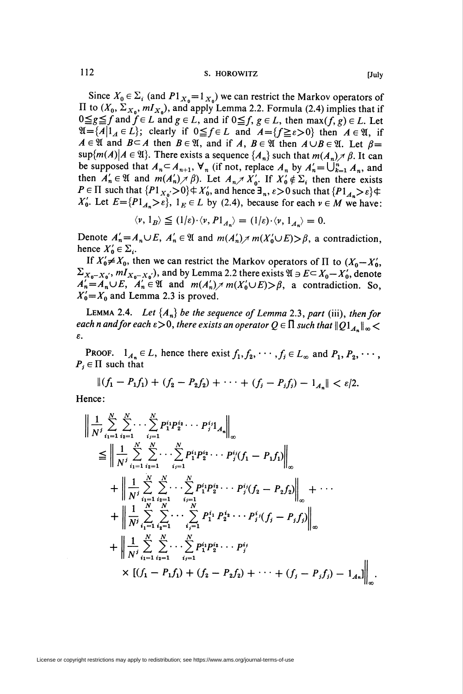Since  $X_0 \in \Sigma_i$  (and  $P1_{X_0} = 1_{X_0}$ ) we can restrict the Markov operators of II to  $(X_0, \Sigma_{X_0}, mI_{X_0})$ , and apply Lemma 2.2. Formula (2.4) implies that if  $0 \leq g \leq f$  and  $f \in L$  and  $g \in L$ , and if  $0 \leq f$ ,  $g \in L$ , then  $\max(f, g) \in L$ . Let  $\mathfrak{A} = \{A \mid 1_A \in L\}$ ; clearly if  $0 \leq f \in L$  and  $A = \{f \geq \varepsilon > 0\}$  then  $A \in \mathfrak{A}$ , if  $A \in \mathfrak{A}$  and  $B \subseteq A$  then  $B \in \mathfrak{A}$ , and if A,  $B \in \mathfrak{A}$  then  $A \cup B \in \mathfrak{A}$ . Let  $\beta =$  $\sup\{m(A)|A\in\mathfrak{A}\}\$ . There exists a sequence  $\{A_n\}$  such that  $m(A_n)\neq\beta$ . It can be supposed that  $A_n \subset A_{n+1}$ ,  $\forall_n$  (if not, replace  $A_n$  by  $A'_n = \bigcup_{k=1}^n A_n$ , and then  $A'_n \in \mathfrak{A}$  and  $m(A'_n) \neq \beta$ ). Let  $A_n \neq X'_0$ . If  $X'_0 \notin \Sigma_i$  then there exists  $P \in \Pi$  such that  $\{P1_{X_0} > 0\} \notin X'_0$ , and hence  $\exists_n, \varepsilon > 0$  such that  $\{P1_{A_n} > \varepsilon\} \notin \Pi$  $X'_0$ . Let  $E = {P1_A > \varepsilon}$ ,  $1_E \in L$  by (2.4), because for each  $\nu \in M$  we have:

$$
\langle \nu, 1_B \rangle \leq (1/\varepsilon) \cdot \langle \nu, P1_{A_n} \rangle = (1/\varepsilon) \cdot \langle \nu, 1_{A_n} \rangle = 0.
$$

Denote  $A'_n = A_n \cup E$ ,  $A'_n \in \mathfrak{A}$  and  $m(A'_n) \neq m(X'_0 \cup E) > \beta$ , a contradiction, hence  $X'_0 \in \Sigma_i$ .

If  $X'_0 \neq X_0$ , then we can restrict the Markov operators of  $\Pi$  to  $(X_0 - X'_0,$  $\Sigma_{X_0-X_0}$ ,  $mI_{X_0-X_0}$ ), and by Lemma 2.2 there exists  $\mathfrak{A} \ni E \subseteq X_0-X_0$ , denote  $A'_n = A_n \cup E$ ,  $A'_n \in \mathfrak{A}$  and  $m(A'_n) \neq m(X'_0 \cup E) > \beta$ , a contradiction. So,  $X'_0 = X_0$  and Lemma 2.3 is proved.

**LEMMA 2.4.** Let  $\{A_n\}$  be the sequence of Lemma 2.3, part (iii), then for each n and for each  $\varepsilon > 0$ , there exists an operator  $Q \in \Pi$  such that  $||Q1_{A_n}||_{\infty} <$  $\varepsilon$ .

**PROOF.**  $1_{A_n} \in L$ , hence there exist  $f_1, f_2, \dots, f_j \in L_\infty$  and  $P_1, P_2, \dots, P_j \in L_\infty$  $P_i \in \Pi$  such that

 $||(f_1 - P_1f_1) + (f_2 - P_2f_2) + \cdots + (f_i - P_if_i) - 1_{A_n}|| < \varepsilon/2.$ 

Hence:

$$
\begin{split}\n&\left\|\frac{1}{N^{j}}\sum_{i_{1}=1}^{N}\sum_{i_{2}=1}^{N}\cdots\sum_{i_{j}=1}^{N}P_{1}^{i_{1}}P_{2}^{i_{2}}\cdots P_{j}^{i_{j}}1_{A_{n}}\right\|_{\infty} \\
&\leq \left\|\frac{1}{N^{j}}\sum_{i_{1}=1}^{N}\sum_{i_{2}=1}^{N}\cdots\sum_{i_{j}=1}^{N}P_{1}^{i_{1}}P_{2}^{i_{2}}\cdots P_{j}^{i_{j}}(f_{1}-P_{1}f_{1})\right\|_{\infty} \\
&+ \left\|\frac{1}{N^{j}}\sum_{i_{1}=1}^{N}\sum_{i_{2}=1}^{N}\cdots\sum_{i_{j}=1}^{N}P_{1}^{i_{1}}P_{2}^{i_{2}}\cdots P_{j}^{i_{j}}(f_{2}-P_{2}f_{2})\right\|_{\infty} + \cdots \\
&+ \left\|\frac{1}{N^{j}}\sum_{i_{1}=1}^{N}\sum_{i_{2}=1}^{N}\cdots\sum_{i_{j}=1}^{N}P_{1}^{i_{1}}P_{2}^{i_{2}}\cdots P_{j}^{i_{j}}(f_{j}-P_{j}f_{j})\right\|_{\infty} \\
&+ \left\|\frac{1}{N^{j}}\sum_{i_{1}=1}^{N}\sum_{i_{2}=1}^{N}\cdots\sum_{i_{j}=1}^{N}P_{1}^{i_{1}}P_{2}^{i_{2}}\cdots P_{j}^{i_{j}} \\
&\times [(f_{1}-P_{1}f_{1})+(f_{2}-P_{2}f_{2})+\cdots+(f_{j}-P_{j}f_{j})-1_{A_{n}}]\right\|_{\infty}.\n\end{split}
$$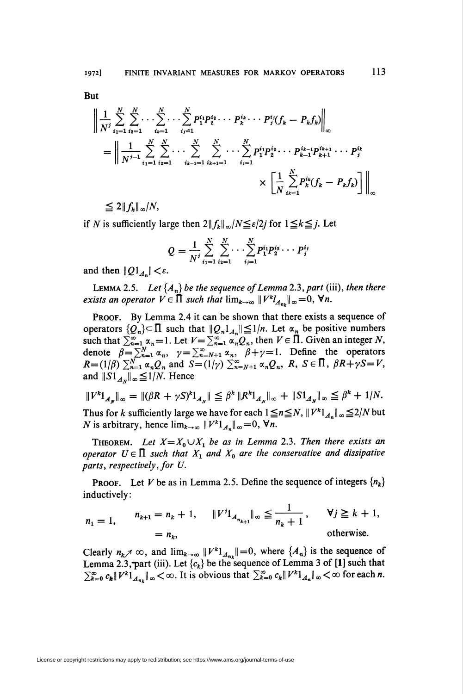113

But

$$
\left\| \frac{1}{N^j} \sum_{i_1=1}^N \sum_{i_2=1}^N \cdots \sum_{i_k=1}^N \cdots \sum_{i_j=1}^N p_1^{i_1} p_2^{i_2} \cdots p_k^{i_k} \cdots p_j^{i_j} (f_k - P_k f_k) \right\|_{\infty}
$$
  
= 
$$
\left\| \frac{1}{N^{j-1}} \sum_{i_1=1}^N \sum_{i_2=1}^N \cdots \sum_{i_{k-1}=1}^N \sum_{i_{k+1}=1}^N \cdots \sum_{i_j=1}^N p_1^{i_1} p_2^{i_2} \cdots p_{k-1}^{i_{k-1}} p_{k+1}^{i_{k+1}} \cdots p_j^{i_k} \right\|_{\infty}
$$
  

$$
\times \left[ \frac{1}{N} \sum_{i_k=1}^N P_k^{i_k} (f_k - P_k f_k) \right] \right\|_{\infty}
$$

 $\leq 2 \|f_k\|_{\infty}/N,$ 

if N is sufficiently large then  $2||f_k||_{\infty}/N \leq \varepsilon/2j$  for  $1 \leq k \leq j$ . Let

$$
Q = \frac{1}{N^j} \sum_{i_1=1}^N \sum_{i_2=1}^N \cdots \sum_{i_j=1}^N P_1^{i_1} P_2^{i_2} \cdots P_j^{i_j}
$$

and then  $||Q1_{A_n}|| < \varepsilon$ .

**LEMMA 2.5.** Let  $\{A_n\}$  be the sequence of Lemma 2.3, part (iii), then there exists an operator  $V \in \Pi$  such that  $\lim_{k\to\infty} ||V^k l_{A_m}||_{\infty} = 0$ ,  $\forall n$ .

PROOF. By Lemma 2.4 it can be shown that there exists a sequence of operators  $\{Q_n\} \subset \Pi$  such that  $||Q_n|_{A_n}|| \leq 1/n$ . Let  $\alpha_n$  be positive numbers such that  $\sum_{n=1}^{\infty} \alpha_n = 1$ . Let  $V = \sum_{n=1}^{\infty} \alpha_n Q_n$ , then  $V \in \overline{\Pi}$ . Given an integer N, denote  $\beta = \sum_{n=1}^{N} \alpha_n$ ,  $\gamma = \sum_{n=N+1}^{\infty} \alpha_n$ ,  $\beta + \gamma = 1$ . Define the operators  $R = (1/\beta) \sum_{n=1}^{N} \alpha_n Q_n$  and  $S = (1/\gamma) \sum_{n=N+1}^{\infty} \alpha_n Q_n$ ,  $R, S \in \Pi, \beta R + \gamma S = V$ , and  $||S1_{A_N}||_{\infty} \leq 1/N$ . Hence

$$
||V^k1_{A_N}||_{\infty} = ||(\beta R + \gamma S)^k1_{A_N}|| \leq \beta^k ||R^k1_{A_N}||_{\infty} + ||S1_{A_N}||_{\infty} \leq \beta^k + 1/N.
$$

Thus for k sufficiently large we have for each  $1 \le n \le N$ ,  $||V^k|_{A_n}||_{\infty} \le 2/N$  but *N* is arbitrary, hence  $\lim_{k\to\infty} ||V^k|_{A_n} ||_{\infty} = 0$ ,  $\forall n$ .

**THEOREM.** Let  $X = X_0 \cup X_1$  be as in Lemma 2.3. Then there exists an operator  $U \in \Pi$  such that  $X_1$  and  $X_0$  are the conservative and dissipative parts, respectively, for U.

**PROOF.** Let V be as in Lemma 2.5. Define the sequence of integers  $\{n_k\}$ inductively:

$$
n_1 = 1, \t n_{k+1} = n_k + 1, \t ||V^{j1}1_{A_{n_{k+1}}}||_{\infty} \leq \frac{1}{n_k + 1}, \t V^{j} \geq k + 1,
$$
  
=  $n_k$ , otherwise.

Clearly  $n_k \nearrow \infty$ , and  $\lim_{k \to \infty} ||V^k|_{A_{n_k}} || = 0$ , where  $\{A_n\}$  is the sequence of Lemma 2.3, part (iii). Let  $\{c_k\}$  be the sequence of Lemma 3 of [1] such that  $\sum_{k=0}^{\infty} c_k ||V^k|_{A_{nk}} ||_{\infty} < \infty$ . It is obvious that  $\sum_{k=0}^{\infty} c_k ||V^k|_{A_{nk}} ||_{\infty} < \infty$  for each *n*.